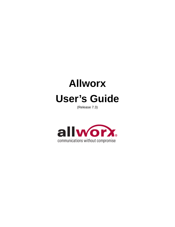

(Release 7.3)

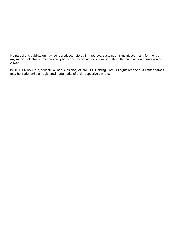No part of this publication may be reproduced, stored in a retrieval system, or transmitted, in any form or by any means, electronic, mechanical, photocopy, recording, or otherwise without the prior written permission of Allworx.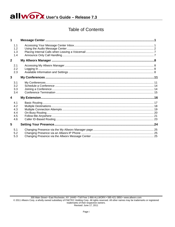allworx. User's Guide - Release 7.3

# **Table of Contents**

|   | 1.1<br>1.2<br>1.3<br>1.4               |  |
|---|----------------------------------------|--|
| 2 |                                        |  |
|   | 2.1<br>2.2<br>2.3                      |  |
| 3 |                                        |  |
|   | 3.1<br>3.2<br>3.3<br>3.4               |  |
| 4 |                                        |  |
|   | 4.1<br>4.2<br>4.3<br>4.4<br>4.5<br>4.6 |  |
| 5 |                                        |  |
|   | 5.1<br>5.2<br>5.3                      |  |

300 Main Street . East Rochester, NY 14445 . Toll Free 1-866-ALLWORX . 585-421-3850 . www.allworx.com © 2011 Allworx Corp, a wholly owned subsidiary of PAETEC Holding Corp. All rights reserved. All other names may be trademarks or registered trademarks of their respective owners. Revised: June 17, 2011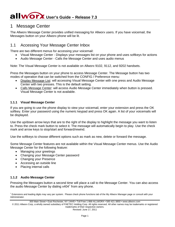# **Allworx**. User's Guide – Release 7.3

# <span id="page-3-0"></span>1 Message Center

The Allworx Message Center provides unified messaging for Allworx users. If you have voicemail, the Messages button on your Allworx phone will be lit.

## <span id="page-3-1"></span>1.1 Accessing Your Message Center Inbox

There are two different menus for accessing your voicemail:

- Visual Message Center Displays your messages list on your phone and uses softkeys for actions
- Audio Message Center Calls the Message Center and uses audio menus

Note: The Visual Message Center is not available on Allworx 9102, 9112, and 9202 handsets.

Press the Messages button on your phone to access Message Center. The Message button has two modes of operation that can be switched from the CONFIG / Preference menu:

- Display Message List: will accessing Visual Message Center with one press and Audio Message Center with two presses. This is the default setting.
- Calls Message Center: will access Audio Message Center immediately when button is pressed. Visual Message Center is not available.

## **1.1.1 Visual Message Center**

If you are going to use the phone display to view your voicemail, enter your extension and press the OK softkey. Enter your password using the numeric keypad and press OK again. A list of your voicemails will be displayed.

Use the up/down arrow keys that are to the right of the display to highlight the message you want to listen to. Press the check mark button to select it. The message will automatically begin to play. Use the check mark and arrow keys to stop/start and forward/rewind.

Use the softkeys to choose different options such as mark as new, delete or forward the message.

Some Message Center features are not available within the Visual Message Center menus. Use the Audio Message Center for the following feature:

- Managing your greetings
- Changing your Message Center password
- Changing your Presence
- Accessing an outside line
- Placing internal calls

## **1.1.2 Audio Message Center**

Pressing the Messages button a second time will place a call to the Message Center. You can also access the audio Message Center by dialing x404[†](#page-3-2) from any phone.

300 Main Street • East Rochester, NY 14445 • Toll Free 1-866-ALLWORX • 585-421-3850 • www.allworx.com

© 2011 Allworx Corp, a wholly owned subsidiary of PAETEC Holding Corp. All rights reserved. All other names may be trademarks or registered trademarks of their respective owners.

<span id="page-3-2"></span><sup>&</sup>lt;sup>†</sup> Extensions and leading digits may vary per system. Please check phone functions tab of the My Allworx Manager page or consult with your Administrator.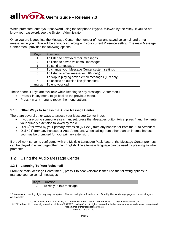When prompted, enter your password using the telephone keypad, followed by the # key. If you do not know your password, see the System Administrator.

Once you are logged into the Message Center, the number of new and saved voicemail and e-mail messages in your inbox will be announced, along with your current Presence setting. The main Message Center menu provides the following options:

| Keys    | <b>Function</b>                                    |
|---------|----------------------------------------------------|
|         | To listen to new voicemail messages                |
| 2       | To listen to saved voicemail messages              |
| 3       | To send a message                                  |
|         | To change your Message Center system settings      |
| 5       | To listen to email messages (10x only)             |
| 6       | To skip to playing saved email messages (10x only) |
|         | To access an outside line (if enabled)             |
| hang up | To end your call                                   |

These shortcut keys are available while listening to any Message Center menu:

- Press # in any menu to go back to the previous menu.
- Press \* in any menu to replay the menu options.

## **1.1.3 Other Ways to Access the Audio Message Center**

There are several other ways to access your Message Center Inbox.

- If you are using someone else's handset, press the Messages button twice, press # and then enter your primary extension followed by the #.
- Dial 6<sup>†</sup> followed by your primary extension (6 + ext.) from any handset or from the Auto Attendant.
- Dial  $404<sup>†</sup>$  $404<sup>†</sup>$  $404<sup>†</sup>$  from any handset or Auto Attendant. When calling from other than an internal handset, you may be prompted for your primary extension.

If the Allworx server is configured with the Multiple Language Pack feature, the Message Center prompts can be played in a language other than English. The alternate language can be used by pressing ## when prompted.

## <span id="page-4-0"></span>1.2 Using the Audio Message Center

## **1.2.1 Listening To Your Voicemail**

From the main Message Center menu, press 1 to hear voicemails then use the following options to manage your voicemail messages:

| nction                   |
|--------------------------|
| To reply to this message |

<span id="page-4-1"></span><sup>†</sup> Extensions and leading digits may vary per system. Please check phone functions tab of the My Allworx Manager page or consult with your Administrator.

300 Main Street • East Rochester, NY 14445 • Toll Free 1-866-ALLWORX • 585-421-3850 • www.allworx.com

© 2011 Allworx Corp, a wholly owned subsidiary of PAETEC Holding Corp. All rights reserved. All other names may be trademarks or registered trademarks of their respective owners.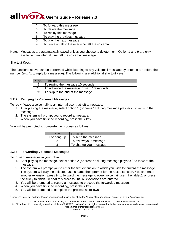| 2 | To forward this message                            |
|---|----------------------------------------------------|
| 3 | To delete the message                              |
| 4 | To replay this message                             |
| 5 | To play the previous message                       |
| 6 | To play the next message                           |
| 9 | To place a call to the user who left the voicemail |

Note: Messages are automatically saved unless you choose to delete them. Option 1 and 9 are only available if an internal user left the voicemail message.

Shortcut Keys:

The functions above can be performed while listening to any voicemail message by entering a \* before the number (e.g. \*1 to reply to a message). The following are additional shortcut keys:

|      | Keys   Function                           |
|------|-------------------------------------------|
| $*7$ | To rewind the message 10 seconds          |
| *R.  | To advance the message forward 10 seconds |
| *#   | To skip to the end of the message         |

## **1.2.2 Replying to Voicemail Messages**

To reply (leave a voicemail) to an internal user that left a message:

- 1. After playing the message, select option 1 (or press \*1 during message playback) to reply to the message.
- 2. The system will prompt you to record a message.
- 3. When you have finished recording, press the # key.

You will be prompted to complete the process as follows:

| Kev          | <b>Function</b>        |
|--------------|------------------------|
| 1 or hang up | To send the message    |
|              | To review your message |
|              | To change your message |

## **1.2.3 Forwarding Voicemail Messages**

To forward messages in your Inbox:

- 1. After playing the message, select option 2 (or press \*2 during message playback) to forward the message.
- 2. The system will prompt you to enter the first extension to which you wish to forward the message. The system will play the selected user's name then prompt for the next extension. You can enter another extension, press  $9^{\dagger}$  to forward the message to every voicemail user (if enabled), or press the # key to finish. Repeat this process until all extensions are entered.
- 3. You will be prompted to record a message to precede the forwarded message.
- 4. When you have finished recording, press the # key.
- 5. You will be prompted to complete the process as follows:

<span id="page-5-0"></span>† Digits may vary per system. Please check phone functions tab of the My Allworx Manager page or consult with your Administrator.

300 Main Street • East Rochester, NY 14445 • Toll Free 1-866-ALLWORX • 585-421-3850 • www.allworx.com

© 2011 Allworx Corp, a wholly owned subsidiary of PAETEC Holding Corp. All rights reserved. All other names may be trademarks or registered trademarks of their respective owners.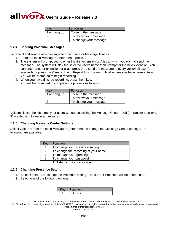| Key          | Function               |
|--------------|------------------------|
| 1 or hang up | To send the message    |
|              | To review your message |
|              | To change your message |

#### **1.2.4 Sending Voicemail Messages**

To record and send a new message to other users or Message Aliases:

- 1. From the main Message Center menu, press 3.
- 2. The system will prompt you to enter the first extension or Alias to which you wish to send the message. The system will play the selected user's name then prompt for the next extension. You can enter another extension or alias, press  $9<sup>†</sup>$  to send the message to every voicemail user (if enabled), or press the # key to finish. Repeat this process until all extensions have been entered.
- 3. You will be prompted to begin recording.
- 4. When you have finished recording, press the # key.
- 5. You will be prompted to complete the process as follows:

| Kev          | Function               |
|--------------|------------------------|
| 1 or hang up | To send the message    |
|              | To review your message |
|              | To change your message |

Voicemails can be left directly for users without accessing the Message Center. Dial (or transfer a caller to)  $3<sup>†</sup>$  + extension to leave a message.

#### **1.2.5 Changing Message Center Settings**

Select Option 4 from the main Message Center menu to change the Message Center settings. The following are available:

| Key     | <b>Function</b>                      |
|---------|--------------------------------------|
| 1       | To change your Presence setting      |
| 2       | To change the recording of your name |
| 3       | To manage your greetings             |
| 5       | To change your password              |
| $\star$ | To listen to the choices again       |

#### **1.2.6 Changing Presence Setting**

- 1. Select Option 1 to change the Presence setting. The current Presence will be announced.
- 2. Select one of the following options:

| <b>Function</b> |
|-----------------|
| In Office       |

<sup>300</sup> Main Street • East Rochester, NY 14445 • Toll Free 1-866-ALLWORX • 585-421-3850 • www.allworx.com

© 2011 Allworx Corp, a wholly owned subsidiary of PAETEC Holding Corp. All rights reserved. All other names may be trademarks or registered trademarks of their respective owners.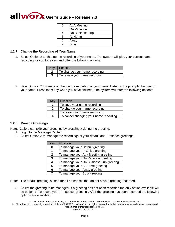|   | At A Meeting     |
|---|------------------|
| З | On Vacation      |
|   | On Business Trip |
| 5 | At Home          |
|   | Away             |
|   | <b>Busy</b>      |

## **1.2.7 Change the Recording of Your Name**

1. Select Option 2 to change the recording of your name. The system will play your current name recording for you to review and offer the following options:

| Key | ∣ Function                    |
|-----|-------------------------------|
|     | To change your name recording |
|     | To review your name recording |

2. Select Option 2 to create or change the recording of your name. Listen to the prompts then record your name. Press the # key when you have finished. The system will offer the following options:

| Key           | <b>Function</b>                        |
|---------------|----------------------------------------|
|               | To save your name recording            |
| $\mathcal{P}$ | To change your name recording          |
| 3             | To review your name recording          |
| #             | To cancel changing your name recording |

## <span id="page-7-0"></span>**1.2.8 Manage Greetings**

Note: Callers can skip your greetings by pressing # during the greeting.

- 1. Log into the Message Center.
- 2. Select Option 3 to manage the recordings of your default and Presence greetings.

| Key | <b>Function</b>                          |
|-----|------------------------------------------|
| 0   | To manage your Default greeting          |
| 1   | To manage your In Office greeting        |
| 2   | To manage your At a Meeting greeting     |
| 3   | To manage your On Vacation greeting      |
| 4   | To manage your On Business Trip greeting |
| 5   | To manage your At Home greeting          |
| 6   | To manage your Away greeting             |
| 7   | To manage your Busy greeting             |

- Note: The default greeting is used for all presences that do not have a greeting recorded.
	- 3. Select the greeting to be managed. If a greeting has not been recorded the only option available will be option 1 "To record your {Presence} greeting". After the greeting has been recorded the following options are available:

© 2011 Allworx Corp, a wholly owned subsidiary of PAETEC Holding Corp. All rights reserved. All other names may be trademarks or registered trademarks of their respective owners.

<sup>300</sup> Main Street • East Rochester, NY 14445 • Toll Free 1-866-ALLWORX • 585-421-3850 • www.allworx.com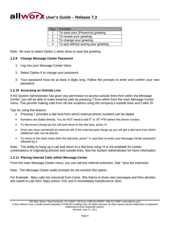| Key | <b>Function</b>                      |
|-----|--------------------------------------|
| 1   | To save your {Presence} greeting     |
| 2   | To review your greeting              |
| 3   | To change your greeting              |
| #   | To quit without saving your greeting |

Note: Be sure to select Option 1 when done to save the greeting.

#### **1.2.9 Change Message Center Password**

- 1. Log into your Message Center Inbox.
- 2. Select Option 5 to change your password.
- 3. Your password must be at least 4 digits long. Follow the prompts to enter and confirm your new password.

#### **1.2.10 Accessing an Outside Line**

If the System Administrator has given you permission to access outside lines from within the Message Center, you will be able to make external calls by pressing 7 from within from the main Message Center menu. This permits making calls from off-site locations using the company's outside lines and Caller ID.

Tips for using this feature:

- Pressing 7 provides a dial tone from which external phone numbers can be dialed.
- Numbers are dialed directly. You do NOT need to dial  $9^{\dagger}$  or 78<sup>†</sup>+PIN before the phone number.
- To disconnect (hang up) the call and return to the dial tone, press \*#.
- Once you have connected an external call, if the external party hangs up you will get a dial tone from which additional calls can be placed.
- To return to the main menu from the dial tone, press \* #, and then re-enter your Message Center password followed by #.

Note: The ability to hang up a call and return to a dial tone using  $*$ # is not available for certain combinations of originating phones and outside lines. See the System Administrator for more information.

## **1.2.11 Placing Internal Calls within Message Center**

From the main Message Center menu, you can call any internal extension. Dial \* plus the extension.

Note: The Message Center audio prompts do not mention this option.

For Example: Mary calls her voicemail from home. She listens to three new messages and then decides she needs to call John. Mary enters \*101 and is immediately transferred to John.

© 2011 Allworx Corp, a wholly owned subsidiary of PAETEC Holding Corp. All rights reserved. All other names may be trademarks or registered trademarks of their respective owners.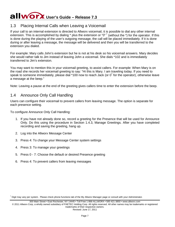# <span id="page-9-0"></span>1.3 Placing Internal Calls when Leaving a Voicemail

If your call to an internal extension is directed to Allworx voicemail, it is possible to dial any other internal extension. This is accomplished by dialing  $*$  plus the extension or "0"  $\dagger$  (without the  $*$ ) for the operator. If this is done during the playing of the user's outgoing message, the call will be placed immediately. If it is done during or after leaving a message, the message will be delivered and then you will be transferred to the extension you dialed.

For example: Mary calls John's extension but he is not at his desk so his voicemail answers. Mary decides she would rather talk to Jim instead of leaving John a voicemail. She dials \*102 and is immediately transferred to Jim's extension.

You may want to mention this in your voicemail greeting, to assist callers. For example: When Mary is on the road she records her voicemail greeting to say: "Hi this is Mary. I am traveling today. If you need to speak to someone immediately, please dial \*100 now to reach Jack (or  $0^{\dagger}$  for the operator), otherwise leave a message at the beep."

<span id="page-9-1"></span>Note: Leaving a pause at the end of the greeting gives callers time to enter the extension before the beep.

## 1.4 Announce Only Call Handling

Users can configure their voicemail to prevent callers from leaving message. The option is separate for each presence setting.

To configure Announce Only Call Handling:

- 1. If you have not already done so, record a greeting for the Presence that will be used for Announce Only. Do this using the procedure in Section [1.4.3, Manage Greetings.](#page-7-0) After you have completed recording and saving the greeting, hang up.
- 2. Log into the Allworx Message Center
- 3. Press 4: To change your Message Center system settings
- 4. Press 3: To manage your greetings
- 5. Press 0 7: Choose the default or desired Presence greeting
- 6. Press 4: To prevent callers from leaving messages

300 Main Street • East Rochester, NY 14445 • Toll Free 1-866-ALLWORX • 585-421-3850 • www.allworx.com

<span id="page-9-2"></span><sup>†</sup> Digit may vary per system. Please check phone functions tab of the My Allworx Manager page or consult with your Administrator.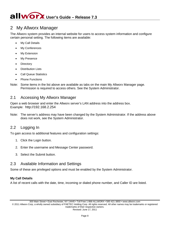# <span id="page-10-0"></span>2 My Allworx Manager

The Allworx system provides an internal website for users to access system information and configure certain personal setting. The following items are available:

- **My Call Details**
- My Conferences
- **My Extension**
- **My Presence**
- **Directory**
- **Distribution Lists**
- Call Queue Statistics
- **Phone Functions**
- Note: Some items in the list above are available as tabs on the main My Allworx Manager page. Permission is required to access others. See the System Administrator.

# <span id="page-10-1"></span>2.1 Accessing My Allworx Manager

Open a web browser and enter the Allworx server's LAN address into the address box. Example: [http://192.168.2.254](http://192.168.2.254/)

Note: The server's address may have been changed by the System Administrator. If the address above does not work, see the System Administrator.

# <span id="page-10-2"></span>2.2 Logging In

To gain access to additional features and configuration settings:

- 1. Click the Login button.
- 2. Enter the username and Message Center password.
- 3. Select the Submit button.

# <span id="page-10-3"></span>2.3 Available Information and Settings

Some of these are privileged options and must be enabled by the System Administrator.

## **My Call Details**

A list of recent calls with the date, time, incoming or dialed phone number, and Caller ID are listed.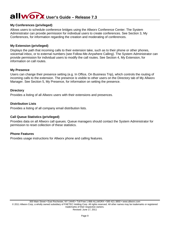## **My Conferences (privileged)**

Allows users to schedule conference bridges using the Allworx Conference Center. The System Administrator can provide permission for individual users to create conferences. See Section [3, My](#page-13-0)  [Conferences,](#page-13-0) for information regarding the creation and moderating of conferences.

## **My Extension (privileged)**

Displays the path that incoming calls to their extension take, such as to their phone or other phones, voicemail inbox, or to external numbers (see Follow-Me-Anywhere Calling). The System Administrator can provide permission for individual users to modify the call routes. See Section [4, My Extension,](#page-18-0) for information on call routes.

## **My Presence**

Users can change their presence setting (e.g. In Office, On Business Trip), which controls the routing of incoming calls to the extension. The presence is visible to other users on the Directory tab of My Allworx Manager. See Section [5, My Presence,](#page-26-0) for information on setting the presence.

#### **Directory**

Provides a listing of all Allworx users with their extensions and presences.

## **Distribution Lists**

Provides a listing of all company email distribution lists.

## **Call Queue Statistics (privileged)**

Provides data on all Allworx call queues. Queue managers should contact the System Administrator for permission to reset collection of these statistics.

## **Phone Features**

Provides usage instructions for Allworx phone and calling features.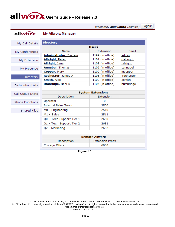Logout Welcome, Alex Smith (asmith)

# allworx

## **My Allworx Manager**

| My Call Details           | <b>Directory</b>             |                          |            |
|---------------------------|------------------------------|--------------------------|------------|
|                           |                              | <b>Users</b>             |            |
| My Conferences            | Name                         | Extension                | Email      |
|                           | <b>Administrator, System</b> | 1199 (in office)         | admin      |
| My Extension              | <b>Albright, Peter</b>       | 1101 (in office)         | palbright  |
|                           | Allright, Jane               | 1105 (in office)         | jallright  |
| My Presence               | <b>Annabel, Thomas</b>       | 1102 (in office)         | tannabel   |
|                           | Copper, Mary                 | 1100 (in office)         | mcopper    |
| <b>Directory</b>          | Rochester, James A           | 1106 (in office)         | jrochester |
|                           | <b>Smith, Alex</b>           | 1103 (in office)         | asmith     |
| <b>Distribution Lists</b> | <b>Umbridge, Noel A</b>      | 1104 (in office)         | numbridge  |
|                           |                              |                          |            |
| Call Queue Stats          |                              | <b>System Extensions</b> |            |
|                           | Description                  | Extension                |            |
| <b>Phone Functions</b>    | Operator                     | 0                        |            |
|                           | <b>Internal Sales Team</b>   | 2500                     |            |
| <b>Shared Files</b>       | M0 - Engineering             | 2510                     |            |
|                           | M1 - Sales                   | 2511                     |            |
|                           | Q0 - Tech Support Tier 1     | 2650                     |            |
|                           | Q1 - Tech Support Tier 2     | 2651                     |            |
|                           | Q2 - Marketing               | 2652                     |            |
|                           |                              |                          |            |
|                           |                              | <b>Remote Allworx</b>    |            |
|                           | Description                  | <b>Extension Prefix</b>  |            |
|                           | Chicago Office               | 6000                     |            |
|                           |                              |                          |            |

**Figure 2.1**

300 Main Street • East Rochester, NY 14445 • Toll Free 1-866-ALLWORX • 585-421-3850 • www.allworx.com © 2011 Allworx Corp, a wholly owned subsidiary of PAETEC Holding Corp. All rights reserved. All other names may be trademarks or registered trademarks of their respective owners. Revised: June 17, 2011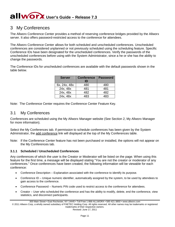# <span id="page-13-0"></span>3 My Conferences

The Allworx Conference Center provides a method of reserving conference bridges provided by the Allworx server. It also offers password-restricted access to the conference for attendees.

The Allworx Conference Center allows for both scheduled and unscheduled conferences. Unscheduled conferences are considered unplanned or not previously scheduled using the scheduling feature. Specific Conference IDs have been designated for the unscheduled conferences. Verify the passwords of the unscheduled conferences before using with the System Administrator, since a he or she has the ability to change the passwords.

The Conference IDs for unscheduled conferences are available with the default passwords shown in the table below.

| <b>Server</b> | <b>Conference</b> | <b>Password</b> |
|---------------|-------------------|-----------------|
|               | ID                |                 |
| 6x, 24x, 48x  | 480               | 480             |
| 24x, 48x      | 481               | 481             |
| 24x, 48x      | 482               | 482             |
| 24x, 48x      | 483               | 483             |

<span id="page-13-1"></span>Note: The Conference Center requires the Conference Center Feature Key.

## 3.1 My Conferences

Conferences are scheduled using the My Allworx Manager website (See Section [2,](#page-10-0) [My Allworx Manager](#page-10-0) for more information).

Select the My Conferences tab. If permission to schedule conferences has been given by the System Administrator, the add conference link will displayed at the top of the My Conferences table.

Note: If the Conference Center feature has not been purchased or installed, the options will not appear on the My Conferences tab.

## **3.1.1 Scheduled / Unscheduled Conferences**

Any conferences of which the user is the Creator or Moderator will be listed on the page. When using this feature for the first time, a message will be displayed stating "You are not the creator or moderator of any conferences." Once conferences have been created, the following information will be viewable for each conference:

- Conference Description Explanation associated with the conference to identify its purpose.
- Conference ID Unique numeric identifier, automatically assigned by the system, to be used by attendees to gain access to the conference.
- Conference Password Numeric PIN code used to restrict access to the conference for attendees.
- Creator User who scheduled the conference and has the ability to modify, delete, end the conference, view statistics, and disconnect participants.

© 2011 Allworx Corp, a wholly owned subsidiary of PAETEC Holding Corp. All rights reserved. All other names may be trademarks or registered trademarks of their respective owners.

<sup>300</sup> Main Street • East Rochester, NY 14445 • Toll Free 1-866-ALLWORX • 585-421-3850 • www.allworx.com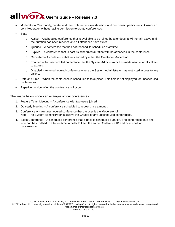- Moderator Can modify, delete, end the conference, view statistics, and disconnect participants. A user can be a Moderator without having permission to create conferences.
- **State** 
	- o Active A scheduled conference that is available to be joined by attendees. It will remain active until the duration has been reached and all attendees have exited.
	- o Queued A conference that has not reached its scheduled start time.
	- $\circ$  Expired A conference that is past its scheduled duration with no attendees in the conference.
	- $\circ$  Cancelled A conference that was ended by either the Creator or Moderator.
	- o Enabled An unscheduled conference that the System Administrator has made usable for all callers to access.
	- o Disabled An unscheduled conference where the System Administrator has restricted access to any callers.
- Date and Time When the conference is scheduled to take place. This field is not displayed for unscheduled conferences.
- Repetition How often the conference will occur.

The image below shows an example of four conferences:

- 1. Feature Team Meeting A conference with two users joined.
- 2. Quarterly Meeting A conference scheduled to repeat once a month.
- 3. Conference A An unscheduled conference that the user is the Moderator of. Note: The System Administrator is always the Creator of any unscheduled conferences.
- 4. Sales Conference A scheduled conference that is past its scheduled duration. The conference date and time can be modified to a future time in order to keep the same Conference ID and password for convenience.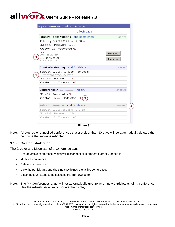| refresh page                                                  |         |
|---------------------------------------------------------------|---------|
| Feature Team Meeting end conference                           | active  |
| February 2, 2007 2:25pm - 2:40pm                              |         |
| ID: 8428 Password: 1234                                       |         |
| Creator: u0 Moderator: u0                                     |         |
| user 1 (101)<br>Entered: 2:27pm                               | Remove  |
| User 55 (6000155)<br>Entered: 2:27pm                          | Remove  |
|                                                               |         |
| Quarterly Meeting modify delete                               | queued  |
| February 3, 2007 10:00am - 10:30am<br>(repeats every 28 days) |         |
| ID: 1483 Password: 1234                                       |         |
| Creator: u1 Moderator: u0                                     |         |
| <b>Conference A</b> (unscheduled) modify                      | enabled |
| ID: 480 Password: 480                                         |         |
| Creator: admin Moderator: u0                                  |         |
|                                                               |         |
| Sales Conference modify delete                                | expired |
| February 2, 2007 2:10pm - 2:25pm                              |         |
| ID: 6785 Password: 1234                                       |         |
| Creator: u0 Moderator: u0                                     |         |

**Figure 3.1**

Note: All expired or cancelled conferences that are older than 30 days will be automatically deleted the next time the server is rebooted.

## **3.1.2 Creator / Moderator**

The Creator and Moderator of a conference can:

- End an active conference, which will disconnect all members currently logged in.
- Modify a conference.
- Delete a conference.
- View the participants and the time they joined the active conference.
- Disconnect an attendee by selecting the Remove button.
- Note: The My Conferences page will not automatically update when new participants join a conference. Use the refresh page link to update the display.

© 2011 Allworx Corp, a wholly owned subsidiary of PAETEC Holding Corp. All rights reserved. All other names may be trademarks or registered trademarks of their respective owners.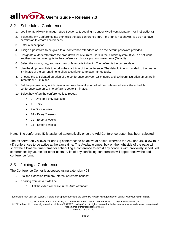# <span id="page-16-0"></span>3.2 Schedule a Conference

- 1. Log into My Allworx Manager. (See Section [2.2, Logging In,](#page-10-2) under [My Allworx Manager,](#page-10-0) for instructions)
- 2. Select the My Conference tab then click the <u>add conference</u> link. If the link is not shown, you do not have permission to create conferences
- 3. Enter a description.
- 4. Assign a password to be given to all conference attendees or use the default password provided.
- 5. Designate a Moderator from the drop down list of current users in the Allworx system. If you do not want another user to have rights to the conference, choose your own username (Default).
- 6. Select the month, day, and year the conference is to begin. The default is the current date.
- 7. Use the drop down lists to modify the start time of the conference. The default time is rounded to the nearest 5 minutes of the current time to allow a conference to start immediately.
- 8. Choose the anticipated duration of the conference between 15 minutes and 10 hours. Duration times are in intervals of 15 minutes.
- 9. Set the pre-join time, which gives attendees the ability to call into a conference before the scheduled conference start time. The default is set to 5 minutes.
- 10. Select how often the conference is to repeat.
	- 0 One time only (Default)
	- $\bullet$  1 Daily
	- 7 Once a week
	- 14 Every 2 weeks
	- 21 Every 3 weeks
	- 28 Every 4 weeks

Note: The conference ID is assigned automatically once the Add Conference button has been selected.

The 6x server only allows for one (1) conference to be active at a time, whereas the 24x and 48x allow four (4) conferences to be active at the same time. The Available times: box on the right side of the page will show the allowable time frame for scheduling a conference to avoid any conflicts with previously scheduled conferences by yourself or other users. A list of any conflicting conferences will appear below the add conference form.

# <span id="page-16-1"></span>3.3 Joining a Conference

The Conference Center is accessed using extension 408<sup>[†](#page-16-2)</sup>:

- Dial the extension from any internal or remote handset.
- If calling from an outside line:
	- o Dial the extension while in the Auto Attendant

300 Main Street • East Rochester, NY 14445 • Toll Free 1-866-ALLWORX • 585-421-3850 • www.allworx.com

© 2011 Allworx Corp, a wholly owned subsidiary of PAETEC Holding Corp. All rights reserved. All other names may be trademarks or registered trademarks of their respective owners.

<span id="page-16-2"></span><sup>&</sup>lt;sup>†</sup> Extensions may vary per system. Please check phone functions tab of the My Allworx Manager page or consult with your Administrator.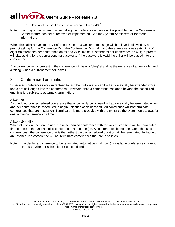- $\circ$  Have another user transfer the incoming call to ext 408<sup>†</sup>.
- Note: If a busy signal is heard when calling the conference extension, it is possible that the Conference Center feature has not purchased or implemented. See the System Administrator for more information.

When the caller arrives to the Conference Center, a welcome message will be played, followed by a prompt asking for the Conference ID. If the Conference ID is valid and there are available seats (limit of eight (8) attendees per conference on 6x and 24x; limit of 30 attendees per conference on 48x), a prompt will play asking for the corresponding password. If the password is valid the caller will be placed into the conference.

Any callers currently present in the conference will hear a "ding" signaling the entrance of a new caller and a "dong" when a current member leaves.

## <span id="page-17-0"></span>3.4 Conference Termination

Scheduled conferences are guaranteed to last their full duration and will automatically be extended while users are still logged into the conference. However, once a conference has gone beyond the scheduled end time it is subject to automatic termination.

#### Allworx 6x

A scheduled or unscheduled conference that is currently being used will automatically be terminated when another conference is scheduled to begin. Initiation of an unscheduled conference will not terminate conferences that are in session. Termination is more probable with the 6x, since the system only allows for one active conference at a time.

#### Allworx 24x, 48x

When all conferences are in use, the unscheduled conference with the oldest start time will be terminated first. If none of the unscheduled conferences are in use (i.e. All conferences being used are scheduled conferences), the conference that is the farthest past its scheduled duration will be terminated. Initiation of an unscheduled conference will not terminate conferences that are in session.

Note: In order for a conference to be terminated automatically, all four (4) available conferences have to be in use, whether scheduled or unscheduled.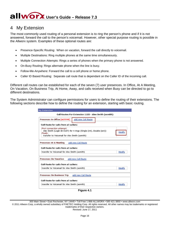# <span id="page-18-0"></span>4 My Extension

The most commonly used routing of a personal extension is to ring the person's phone and if it is not answered, forward the call to the person's voicemail. However, other special purpose routing is possible in the Allworx system. Examples of these optional routes are:

- Presence-Specific Routing: When on vacation, forward the call directly to voicemail.
- Multiple Destinations: Ring multiple phones at the same time simultaneously.
- Multiple Connection Attempts: Rings a series of phones when the primary phone is not answered.
- On-Busy Routing: Rings alternate phone when the line is busy.
- Follow-Me-Anywhere: Forward the call to a cell phone or home phone.
- Caller ID Based Routing: Separate call route that is dependant on the Caller ID of the incoming call.

Different call routes can be established for each of the seven (7) user presences. In Office, At A Meeting, On Vacation, On Business Trip, At Home, Away, and calls received when Busy can be directed to go to different destinations.

The System Administrator can configure permissions for users to define the routing of their extensions. The following sections describe how to define the routing for an extension, starting with basic routing.

| <b>My Extension</b>                                                                                                                                                     |
|-------------------------------------------------------------------------------------------------------------------------------------------------------------------------|
| Call Routes For Extension 1103 - Alex Smith (asmith)                                                                                                                    |
| Presence: In Office [ACTIVE]<br>add new Call Route                                                                                                                      |
| Call Route for calls from all callers:                                                                                                                                  |
| First connection attempt:<br>Alex Smith (Login 10:5107) for 4 rings (Single (int), Double (ext))<br>Modify<br>Finally:<br>transfer to Voicemail for Alex Smith (asmith) |
| add new Call Route<br>Presence: At A Meeting                                                                                                                            |
| Call Route for calls from all callers:                                                                                                                                  |
| transfer to Voicemail for Alex Smith (asmith)<br>Modify                                                                                                                 |
| Presence: On Vacation<br>add new Call Route                                                                                                                             |
| Call Route for calls from all callers:                                                                                                                                  |
| transfer to Voicemail for Alex Smith (asmith)<br>Modify                                                                                                                 |
| <b>Presence: On Business Trip</b><br>add new Call Route                                                                                                                 |
| Call Route for calls from all callers:                                                                                                                                  |
| transfer to Voicemail for Alex Smith (asmith)<br>Modify                                                                                                                 |



<span id="page-18-1"></span><sup>300</sup> Main Street • East Rochester, NY 14445 • Toll Free 1-866-ALLWORX • 585-421-3850 • www.allworx.com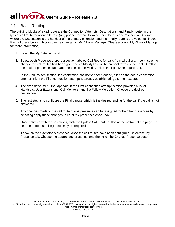# <span id="page-19-0"></span>4.1 Basic Routing

The building blocks of a call route are the Connection Attempts, Destinations, and Finally route. In the typical call route mentioned before (ring phone, forward to voicemail), there is one Connection Attempt where the Destination is the handset of the primary extension and the Finally route is the voicemail inbox. Each of these building blocks can be changed in My Allworx Manager (See Section [2, My Allworx Manager](#page-10-0) for more information).

- 1. Select the My Extensions tab.
- 2. Below each Presence there is a section labeled Call Route for calls from all callers. If permission to change the call routes has been give, then a Modify link will be present towards the right. Scroll to the desired presence state, and then select the Modify link to the right (See [Figure 4.1\)](#page-18-1).
- 3. In the Call Routes section, if a connection has not yet been added, click on the add a connection attempt link. If the First connection attempt is already established, go to the next step.
- 4. The drop down menu that appears in the First connection attempt section provides a list of Handsets, User Extensions, Call Monitors, and the Follow Me option. Choose the desired destination.
- 5. The last step is to configure the Finally route, which is the desired ending for the call if the call is not answered.
- 6. Any changes made to the call route of one presence can be assigned to the other presences by selecting apply these changes to *all* of my presences check box.
- 7. Once satisfied with the selections, click the Update Call Route button at the bottom of the page. To see the button, scrolling down may be required.
- 8. To switch the extension's presence, once the call routes have been configured, select the My Presence tab. Choose the appropriate presence, and then click the Change Presence button.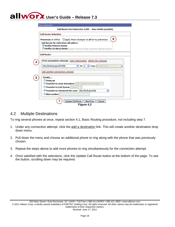|  | <b>My Extension</b> |
|--|---------------------|
|  |                     |

Call Route For Extension 1103 - Alex Smith (asmith)

| 6<br>Presence: In Office apply these changes to all of my presences        |
|----------------------------------------------------------------------------|
| Call Route for calls from all callers:                                     |
| <b>OModify Primary Route</b>                                               |
| CModify On Busy Route (used if a Primary Route connection attempt is busy) |
| <b>Call Route</b>                                                          |
| First connection attempt add a destination delete this attempt             |
| v for 4 v nngs (Single Ring<br>v.)<br>Alex Smith (Login ID:5105)           |
|                                                                            |
| add another connection attempt                                             |
| Finally                                                                    |
| C Hang up                                                                  |
| C Transfer to Auto Attendant 400 - Default Auto Attendant                  |
| O Transfer to Call Queue Oueue 0 M                                         |
| © Transfer to Voicemail for user   Alex Smith (asmith)<br>v                |
| O Dial number                                                              |
|                                                                            |

## <span id="page-20-0"></span>4.2 Multiple Destinations

To ring several phones at once, repeat section [4.1, Basic Routing](#page-19-0) procedure, not including step 7.

- 1. Under any connection attempt, click the add a destination link. This will create another destination drop down menu.
- 2. Pull down the menu and choose an additional phone to ring along with the phone that was previously chosen.
- 3. Repeat the steps above to add more phones to ring simultaneously for the connection attempt.
- 4. Once satisfied with the selections, click the Update Call Route button at the bottom of the page. To see the button, scrolling down may be required.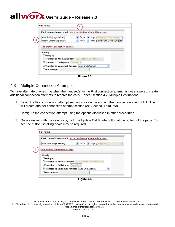|                                    | First connection attempt add a destination delete this attempt   |
|------------------------------------|------------------------------------------------------------------|
| Alex Smith (Login ID.5105)         | for 4 v rings (Single (int). Double (ext) v<br>×                 |
| Noel A Umbridge (Port 04)          | v nings (Single (int), Double (ext)   v<br>$\vee$ for 4          |
| Finally                            |                                                                  |
| $\odot$ Hang up                    |                                                                  |
|                                    | <b>O Transfer to Auto Attendant</b> 400 - Default Auto Attendant |
| O Transfer to Call Queue Queue 0 M |                                                                  |
|                                    | Transfer to Voicemail for user   Alex Smith (asmith)<br>v        |

**Figure 4.3**

# <span id="page-21-0"></span>4.3 Multiple Connection Attempts

To have alternate phones ring when the handset(s) in the First connection attempt is not answered, create additional connection attempts to receive the calls. Repeat section [4.2, Multiple Destinations.](#page-20-0)

- 1. Below the First connection attempt section, click on the add another connection attempt link. This will create another connection attempt section (ex: Second, Third, etc).
- 2. Configure the connection attempt using the options discussed in other procedures.
- 3. Once satisfied with the selections, click the Update Call Route button at the bottom of the page. To see the button, scrolling down may be required.

|                                    | First connection attempt add a destination delete this attempt |
|------------------------------------|----------------------------------------------------------------|
| Alex Smith (Login ID:5105)         | v for 4 v rings (Single Ring<br>۷D                             |
| Hang up                            |                                                                |
| Finally                            |                                                                |
|                                    | O Transfer to Auto Attendant 400 - Default Auto Attendant      |
|                                    |                                                                |
| O Transfer to Call Queue Queue 0 M |                                                                |
|                                    | © Transfer to Voicemail for user   Alex Smith (asmith)<br>v    |

**Figure 4.4**

300 Main Street • East Rochester, NY 14445 • Toll Free 1-866-ALLWORX • 585-421-3850 • www.allworx.com © 2011 Allworx Corp, a wholly owned subsidiary of PAETEC Holding Corp. All rights reserved. All other names may be trademarks or registered trademarks of their respective owners.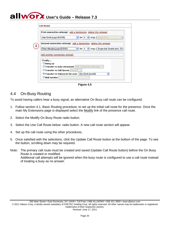

**Figure 4.5**

# <span id="page-22-0"></span>4.4 On-Busy Routing

To avoid having callers hear a busy signal, an alternative On Busy call route can be configured.

- 1. Follow section [4.1,](#page-19-0) Basic [Routing](#page-19-0) procedure, to set up the initial call route for the presence. Once the main My Extensions page is displayed select the Modify link of the presence call route.
- 2. Select the Modify On Busy Route radio button.
- 3. Select the Use Call Route below: radio button. A new call route section will appear.
- 4. Set up the call route using the other procedures.
- 5. Once satisfied with the selections, click the Update Call Route button at the bottom of the page. To see the button, scrolling down may be required.
- Note: The primary call route must be created and saved (Update Call Route button) before the On Busy Route is created or modified. Additional call attempts will be ignored when the busy route is configured to use a call route instead of treating a busy as no answer.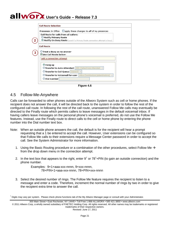|                                                                                    | Presence: In Office apply these changes to all of my presences                     |
|------------------------------------------------------------------------------------|------------------------------------------------------------------------------------|
| Call Route for calls from all callers:                                             |                                                                                    |
| Modify Primary Route                                                               |                                                                                    |
|                                                                                    | <b>O Modify On Busy Route</b> (used if a Primary Route connection attempt is busy) |
| <b>Call Route</b>                                                                  |                                                                                    |
|                                                                                    |                                                                                    |
|                                                                                    |                                                                                    |
|                                                                                    |                                                                                    |
| $\odot$ Hang up                                                                    |                                                                                    |
| O Treat a Busy as no answer<br>C Use Call Route below:<br>add a connection attempt | O Transfer to Auto Attendant   400 - Default Auto Attendant                        |
|                                                                                    | <b>O Transfer to Call Queue Cueue 0 Y</b>                                          |
|                                                                                    | <b>O Transfer to Voicemail for user</b> Albus Dumbledore (adumbledore) v           |

**Figure 4.6**

# <span id="page-23-0"></span>4.5 Follow-Me-Anywhere

Calls can be forwarded to other phones outside of the Allworx System such as cell or home phones. If the recipient does not answer the call, it will be directed back to the system in order to follow the rest of the configured call route. In following the rest of the call route, unanswered Follow Me calls may eventually be directed to the Finally route which permits callers to leave messages in the default voicemail inbox. If having callers leave messages on the personal phone's voicemail is preferred, do not use the Follow Me features. Instead, use the Finally route to direct calls to the cell or home phone by entering the phone number into the Dial number text box.

- Note: When an outside phone answers the call, the default is for the recipient will hear a prompt requesting that a 1 be entered to accept the call. However, User extensions can be configured so that Follow Me calls to their extensions require a Message Center password in order to accept the call. See the System Administrator for more information.
	- 1. Using the Basic Routing procedure or a combination of the other procedures, select Follow Me  $\rightarrow$ from the drop down menu in the connection attempt.
	- 2. In the text box that appears to the right, enter  $9^{\dagger}$  or  $78^{\dagger}$ +PIN (to gain an outside connection) and the phone number.

Examples: 9+1+aaa-xxx-nnnn, 9+xxx-nnnn, 78+PIN+1+aaa-xxx-nnnn, 78+PIN+xxx-nnnn

3. Select the desired number of rings. The Follow Me feature requires the recipient to listen to a message and enter a code. Therefore, increment the normal number of rings by two in order to give the recipient extra time to answer the call.

<span id="page-23-1"></span><sup>†</sup> Digits may vary per system. Please check phone functions tab of the My Allworx Manager page or consult with your Administrator.

<sup>300</sup> Main Street • East Rochester, NY 14445 • Toll Free 1-866-ALLWORX • 585-421-3850 • www.allworx.com © 2011 Allworx Corp, a wholly owned subsidiary of PAETEC Holding Corp. All rights reserved. All other names may be trademarks or registered trademarks of their respective owners. Revised: June 17, 2011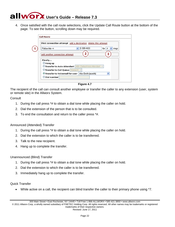4. Once satisfied with the call route selections, click the Update Call Route button at the bottom of the page. To see the button, scrolling down may be required.

|                                    | First connection attempt add a destination delete this attempt   |                  |
|------------------------------------|------------------------------------------------------------------|------------------|
| Follow Me->                        | 9 555-4433                                                       | for $4$<br>rings |
| add another connection attempt     | 2                                                                |                  |
| Finally                            |                                                                  |                  |
| C Hang up                          |                                                                  |                  |
|                                    | <b>O Transfer to Auto Attendant</b> 400 - Default Auto Attendant |                  |
| O Transfer to Call Queue Queue 0 V |                                                                  |                  |
|                                    | Transfer to Voicemail for user   Alex Smith (asmith)             | $\checkmark$     |
| O Dial number                      |                                                                  |                  |

**Figure 4.7**

The recipient of the call can consult another employee or transfer the caller to any extension (user, system or remote site) in the Allworx System.

## **Consult**

- 1. During the call press \*# to obtain a dial tone while placing the caller on hold.
- 2. Dial the extension of the person that is to be consulted.
- 3. To end the consultation and return to the caller press \*#.

## Announced (Attended) Transfer

- 1. During the call press \*# to obtain a dial tone while placing the caller on hold.
- 2. Dial the extension to which the caller is to be transferred.
- 3. Talk to the new recipient.
- 4. Hang up to complete the transfer.

## Unannounced (Blind) Transfer

- 1. During the call press \*# to obtain a dial tone while placing the caller on hold.
- 2. Dial the extension to which the caller is to be transferred.
- 3. Immediately hang up to complete the transfer.

## Quick Transfer

• While active on a call, the recipient can blind transfer the caller to their primary phone using \*7.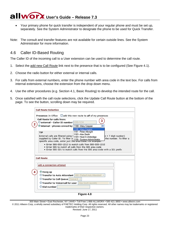- Your primary phone for quick transfer is independent of your regular phone and must be set up, separately. See the System Administrator to designate the phone to be used for Quick Transfer.
- Note: The consult and transfer features are not available for certain outside lines. See the System Administrator for more information.

## <span id="page-25-0"></span>4.6 Caller ID-Based Routing

The Caller ID of the incoming call to a User extension can be used to determine the call route.

- 1. Select the add new Call Route link next to the presence that is to be configured (See [Figure](#page-18-1) 4.1).
- 2. Choose the radio button for either external or internal calls.
- 3. For calls from external numbers, enter the phone number with area code in the text box. For calls from internal extensions, choose the extension from the drop down menu.
- 4. Use the other procedures (e.g. Section [4.1,](#page-19-0) [Basic Routing\)](#page-19-0) to develop the intended route for the call.
- 5. Once satisfied with the call route selections, click the Update Call Route button at the bottom of the page. To see the button, scrolling down may be required.

| <b>Call Route Selection</b>                                                                                                                                                                                                                                                                                                 |
|-----------------------------------------------------------------------------------------------------------------------------------------------------------------------------------------------------------------------------------------------------------------------------------------------------------------------------|
| <b>Presence:</b> In Office $\Box$ add this new route to all of my presences                                                                                                                                                                                                                                                 |
| Call Route for calls from:<br>Oexternal - Caller ID number 9 555-1234<br>$\odot$ internal - phones owned by $\vert$ 1100 - Mary Copper                                                                                                                                                                                      |
| 1100 - Mary Copper<br>1101 - Peter Albright<br><b>TIP</b><br>1103 - Alex Smith<br>External calls are filtered using 1104 - Noel A Umbridge<br>e + 7 digit number)<br>the number. To filter a<br>supplied by Caller ID. To filter a 1193-11061A Chilomistrator<br>specific area code, enter just the area couer ror example: |
| . Enter S85-S55-1212 to match calls from S85-S55-1212<br>. Enter 585 to match all calls from the 585 area code<br>. Enter S85-321 to match calls from the S85 area code with a 321 prefix                                                                                                                                   |
| <b>Call Route</b><br>add a connection attempt                                                                                                                                                                                                                                                                               |
| $\odot$ Hang up<br><b>CTransfer to Auto Attendant</b> 400 - Default Auto Attendant<br><b>O Transfer to Call Queue Queue 0 Y</b>                                                                                                                                                                                             |
| <b>C</b> Transfer to Voicemail for user Alex Smith (asmith)<br>v.<br>O Dial number                                                                                                                                                                                                                                          |
| Figure 4.8                                                                                                                                                                                                                                                                                                                  |

300 Main Street • East Rochester, NY 14445 • Toll Free 1-866-ALLWORX • 585-421-3850 • www.allworx.com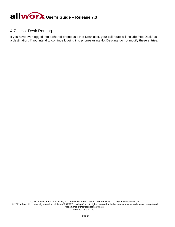# <span id="page-26-0"></span>4.7 Hot Desk Routing

If you have ever logged into a shared phone as a Hot Desk user, your call route will include "Hot Desk" as a destination. If you intend to continue logging into phones using Hot Desking, do not modify these entries.